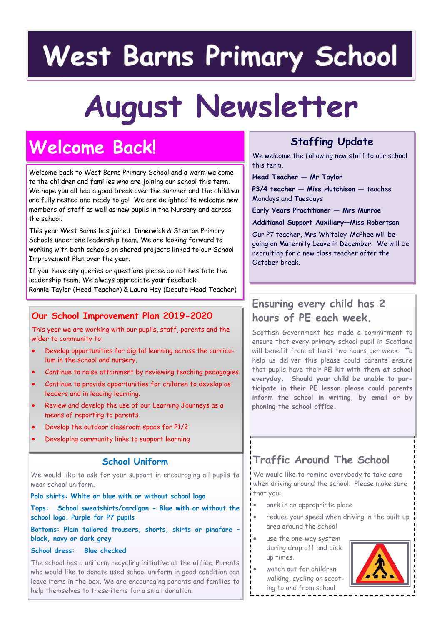# **West Barns Primary School**

# **August Newsletter**

# **Welcome Back!**

Welcome back to West Barns Primary School and a warm welcome to the children and families who are joining our school this term. We hope you all had a good break over the summer and the children are fully rested and ready to go! We are delighted to welcome new members of staff as well as new pupils in the Nursery and across the school.

This year West Barns has joined Innerwick & Stenton Primary Schools under one leadership team. We are looking forward to working with both schools on shared projects linked to our School Improvement Plan over the year.

If you have any queries or questions please do not hesitate the leadership team. We always appreciate your feedback. Ronnie Taylor (Head Teacher) & Laura Hay (Depute Head Teacher)

#### **Our School Improvement Plan 2019-2020**

This year we are working with our pupils, staff, parents and the wider to community to:

- Develop opportunities for digital learning across the curriculum in the school and nursery.
- Continue to raise attainment by reviewing teaching pedagogies
- Continue to provide opportunities for children to develop as leaders and in leading learning.
- Review and develop the use of our Learning Journeys as a means of reporting to parents
- Develop the outdoor classroom space for P1/2
- Developing community links to support learning

#### **School Uniform**

We would like to ask for your support in encouraging all pupils to wear school uniform.

**Polo shirts: White or blue with or without school logo**

**Tops: School sweatshirts/cardigan - Blue with or without the school logo. Purple for P7 pupils**

**Bottoms: Plain tailored trousers, shorts, skirts or pinafore – black, navy or dark grey**

#### **School dress: Blue checked**

The school has a uniform recycling initiative at the office. Parents who would like to donate used school uniform in good condition can leave items in the box. We are encouraging parents and families to help themselves to these items for a small donation.

# **Staffing Update**

We welcome the following new staff to our school this term.

**Head Teacher — Mr Taylor**

**P3/4 teacher — Miss Hutchison —** teaches Mondays and Tuesdays

**Early Years Practitioner — Mrs Munroe**

**Additional Support Auxiliary—Miss Robertson**

Our P7 teacher, Mrs Whiteley-McPhee will be going on Maternity Leave in December. We will be recruiting for a new class teacher after the October break.

## **Ensuring every child has 2 hours of PE each week.**

Scottish Government has made a commitment to ensure that every primary school pupil in Scotland will benefit from at least two hours per week. To help us deliver this please could parents ensure that pupils have their **PE kit with them at school everyday. Should your child be unable to participate in their PE lesson please could parents inform the school in writing, by email or by phoning the school office.** 

# **Traffic Around The School**

We would like to remind everybody to take care when driving around the school. Please make sure that you:

- park in an appropriate place
- reduce your speed when driving in the built up area around the school
- use the one-way system during drop off and pick up times.
	- watch out for children walking, cycling or scooting to and from school



- 
-